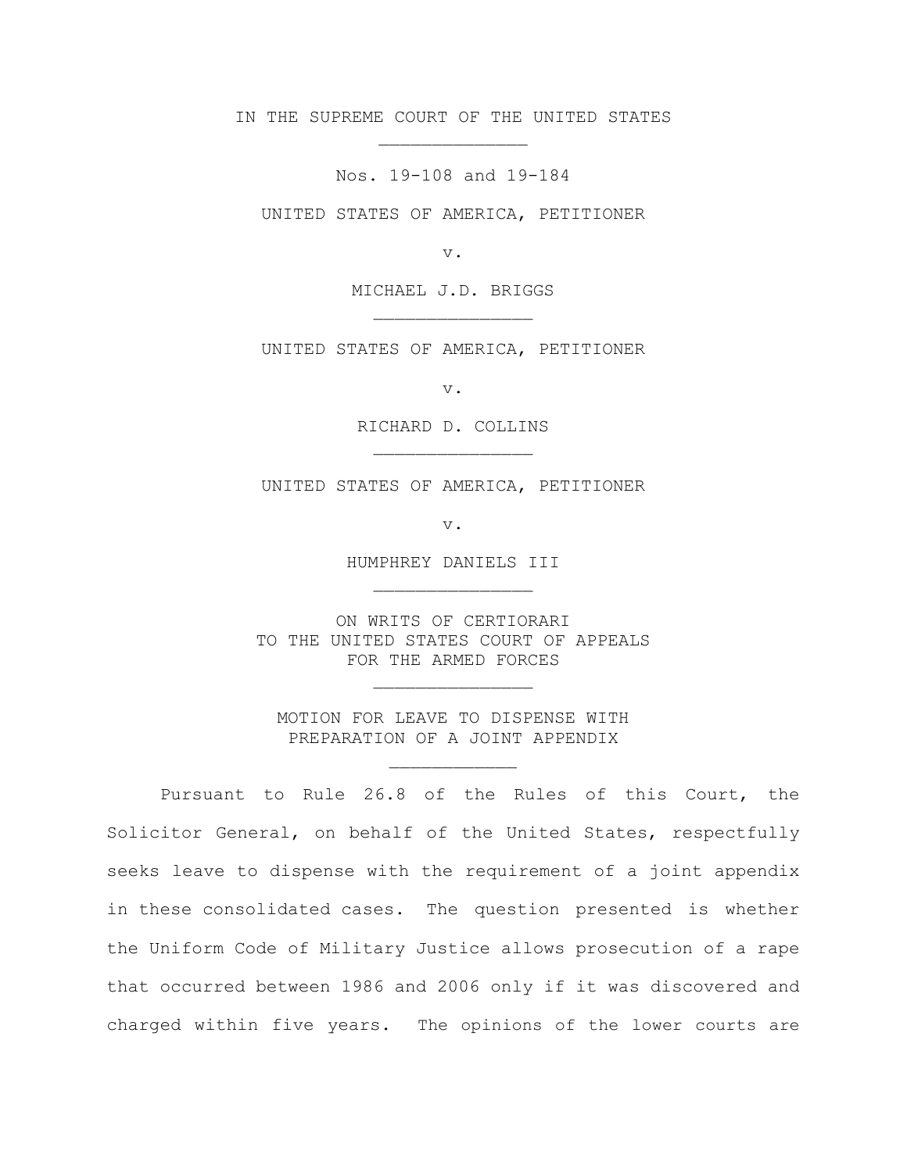IN THE SUPREME COURT OF THE UNITED STATES \_\_\_\_\_\_\_\_\_\_\_\_\_\_

Nos. 19-108 and 19-184

UNITED STATES OF AMERICA, PETITIONER

v.

MICHAEL J.D. BRIGGS \_\_\_\_\_\_\_\_\_\_\_\_\_\_\_

UNITED STATES OF AMERICA, PETITIONER

v.

RICHARD D. COLLINS \_\_\_\_\_\_\_\_\_\_\_\_\_\_\_

UNITED STATES OF AMERICA, PETITIONER

v.

HUMPHREY DANIELS III \_\_\_\_\_\_\_\_\_\_\_\_\_\_\_

ON WRITS OF CERTIORARI TO THE UNITED STATES COURT OF APPEALS FOR THE ARMED FORCES

MOTION FOR LEAVE TO DISPENSE WITH PREPARATION OF A JOINT APPENDIX

\_\_\_\_\_\_\_\_\_\_\_\_

\_\_\_\_\_\_\_\_\_\_\_\_\_\_\_

Pursuant to Rule 26.8 of the Rules of this Court, the Solicitor General, on behalf of the United States, respectfully seeks leave to dispense with the requirement of a joint appendix in these consolidated cases. The question presented is whether the Uniform Code of Military Justice allows prosecution of a rape that occurred between 1986 and 2006 only if it was discovered and charged within five years. The opinions of the lower courts are